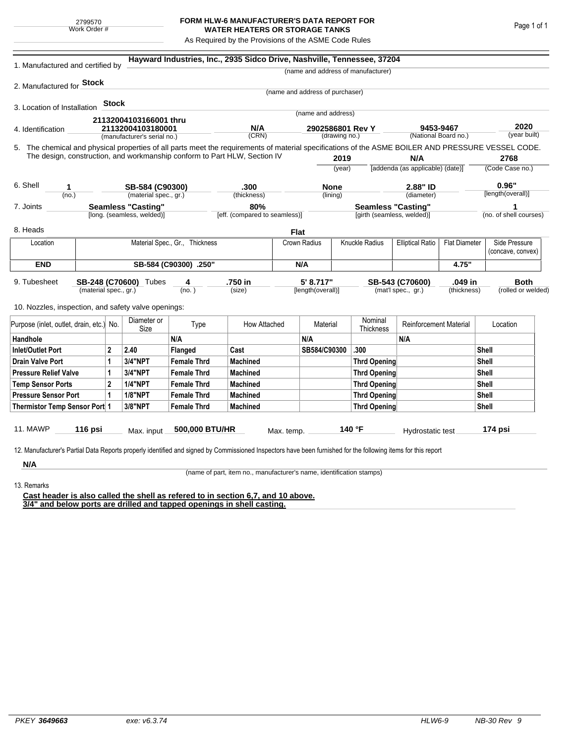## **FORM HLW-6 MANUFACTURER'S DATA REPORT FOR WATER HEATERS OR STORAGE TANKS**

As Required by the Provisions of the ASME Code Rules

| 1. Manufactured and certified by                                                                                                                              |                       |                     |                                |                    | Hayward Industries, Inc., 2935 Sidco Drive, Nashville, Tennessee, 37204 |              |                                 |                                           |                                         |                      |                      |                    |                        |  |
|---------------------------------------------------------------------------------------------------------------------------------------------------------------|-----------------------|---------------------|--------------------------------|--------------------|-------------------------------------------------------------------------|--------------|---------------------------------|-------------------------------------------|-----------------------------------------|----------------------|----------------------|--------------------|------------------------|--|
|                                                                                                                                                               |                       |                     |                                |                    |                                                                         |              |                                 |                                           | (name and address of manufacturer)      |                      |                      |                    |                        |  |
| 2. Manufactured for <b>Stock</b>                                                                                                                              |                       |                     |                                |                    |                                                                         |              |                                 |                                           |                                         |                      |                      |                    |                        |  |
|                                                                                                                                                               |                       |                     |                                |                    |                                                                         |              | (name and address of purchaser) |                                           |                                         |                      |                      |                    |                        |  |
| 3. Location of Installation                                                                                                                                   |                       | <b>Stock</b>        |                                |                    |                                                                         |              |                                 |                                           |                                         |                      |                      |                    |                        |  |
|                                                                                                                                                               |                       |                     | 21132004103166001 thru         |                    |                                                                         |              | (name and address)              |                                           |                                         |                      |                      |                    |                        |  |
| 4. Identification                                                                                                                                             |                       |                     | 21132004103180001              |                    | N/A                                                                     |              | 2902586801 Rev Y                |                                           | 9453-9467                               |                      |                      | 2020               |                        |  |
|                                                                                                                                                               |                       |                     | (manufacturer's serial no.)    |                    | (CRN)                                                                   |              |                                 | (drawing no.)                             |                                         |                      | (National Board no.) |                    | (year built)           |  |
| 5. The chemical and physical properties of all parts meet the requirements of material specifications of the ASME BOILER AND PRESSURE VESSEL CODE.            |                       |                     |                                |                    |                                                                         |              |                                 |                                           |                                         |                      |                      |                    |                        |  |
| The design, construction, and workmanship conform to Part HLW, Section IV                                                                                     |                       |                     |                                |                    |                                                                         |              | 2019                            |                                           | N/A<br>[addenda (as applicable) (date)] |                      | 2768                 |                    |                        |  |
|                                                                                                                                                               |                       |                     |                                |                    |                                                                         |              |                                 | (year)                                    |                                         |                      |                      |                    | (Code Case no.)        |  |
| 6. Shell<br>1                                                                                                                                                 |                       |                     |                                | SB-584 (C90300)    |                                                                         |              | <b>None</b>                     |                                           |                                         | 2.88" ID             |                      | 0.96"              |                        |  |
| (no.)                                                                                                                                                         |                       |                     | (material spec., gr.)          |                    | (thickness)                                                             |              |                                 | (lining)                                  |                                         | (diameter)           |                      |                    | [length(overall)]      |  |
| <b>Seamless "Casting"</b><br>7. Joints                                                                                                                        |                       |                     |                                | 80%                |                                                                         |              |                                 | <b>Seamless "Casting"</b>                 |                                         |                      | 1                    |                    |                        |  |
|                                                                                                                                                               |                       |                     | [long. (seamless, welded)]     |                    | [eff. (compared to seamless)]                                           |              |                                 |                                           | [girth (seamless, welded)]              |                      |                      |                    | (no. of shell courses) |  |
| 8. Heads                                                                                                                                                      |                       |                     |                                |                    |                                                                         | Flat         |                                 |                                           |                                         |                      |                      |                    |                        |  |
| Location                                                                                                                                                      |                       |                     | Material Spec., Gr., Thickness |                    |                                                                         | Crown Radius |                                 | Knuckle Radius<br><b>Elliptical Ratio</b> |                                         | <b>Flat Diameter</b> |                      | Side Pressure      |                        |  |
|                                                                                                                                                               |                       |                     |                                |                    |                                                                         |              |                                 |                                           |                                         |                      |                      |                    | (concave, convex)      |  |
| <b>END</b>                                                                                                                                                    | SB-584 (C90300) .250" |                     |                                |                    |                                                                         |              | N/A                             |                                           |                                         | 4.75"                |                      |                    |                        |  |
| 9. Tubesheet                                                                                                                                                  |                       |                     | SB-248 (C70600) Tubes          | 4                  | .750 in                                                                 |              | 5' 8.717"                       |                                           |                                         | SB-543 (C70600)      | .049 in              |                    | <b>Both</b>            |  |
| (material spec., gr.)                                                                                                                                         |                       |                     |                                | (no.)              | (size)                                                                  |              | [length(overall)]               |                                           | (mat'l spec., gr.)<br>(thickness)       |                      |                      | (rolled or welded) |                        |  |
| 10. Nozzles, inspection, and safety valve openings:                                                                                                           |                       |                     |                                |                    |                                                                         |              |                                 |                                           |                                         |                      |                      |                    |                        |  |
|                                                                                                                                                               |                       |                     |                                |                    |                                                                         |              |                                 |                                           |                                         |                      |                      |                    |                        |  |
| Purpose (inlet, outlet, drain, etc.)<br>No.                                                                                                                   |                       | Diameter or<br>Size | Type                           | How Attached       |                                                                         | Material     |                                 | Nominal<br>Thickness                      | <b>Reinforcement Material</b>           |                      |                      | Location           |                        |  |
| Handhole                                                                                                                                                      |                       |                     |                                | N/A                |                                                                         |              | N/A                             |                                           |                                         | N/A                  |                      |                    |                        |  |
| $\overline{2}$<br><b>Inlet/Outlet Port</b>                                                                                                                    |                       |                     | 2.40                           | Flanged            | Cast                                                                    |              | SB584/C90300                    |                                           | .300                                    |                      |                      | Shell              |                        |  |
| <b>Drain Valve Port</b><br>1                                                                                                                                  |                       |                     | 3/4"NPT                        | <b>Female Thrd</b> | <b>Machined</b>                                                         |              |                                 |                                           | <b>Thrd Opening</b>                     |                      |                      | Shell              |                        |  |
| <b>Pressure Relief Valve</b><br>1                                                                                                                             |                       |                     | 3/4"NPT                        | <b>Female Thrd</b> | <b>Machined</b>                                                         |              |                                 |                                           | <b>Thrd Opening</b>                     |                      |                      | Shell              |                        |  |
| $\overline{2}$<br><b>Temp Sensor Ports</b>                                                                                                                    |                       |                     | <b>1/4"NPT</b>                 | <b>Female Thrd</b> | <b>Machined</b>                                                         |              | <b>Thrd Opening</b>             |                                           |                                         |                      | Shell                |                    |                        |  |
| <b>Pressure Sensor Port</b><br>1                                                                                                                              |                       |                     | <b>1/8"NPT</b>                 | <b>Female Thrd</b> | <b>Machined</b>                                                         |              |                                 | <b>Thrd Opening</b>                       |                                         |                      | Shell                |                    |                        |  |
| Thermistor Temp Sensor Port 1                                                                                                                                 |                       |                     | 3/8"NPT                        | <b>Female Thrd</b> | <b>Machined</b>                                                         |              |                                 | <b>Thrd Opening</b>                       |                                         |                      |                      |                    | Shell                  |  |
|                                                                                                                                                               |                       |                     |                                |                    |                                                                         |              |                                 |                                           |                                         |                      |                      |                    |                        |  |
| 11. MAWP                                                                                                                                                      | 116 psi               |                     | Max. input                     | 500,000 BTU/HR     |                                                                         | Max. temp.   |                                 |                                           | 140 °F                                  | Hydrostatic test     |                      |                    | 174 psi                |  |
| 12. Manufacturer's Partial Data Reports properly identified and signed by Commissioned Inspectors have been furnished for the following items for this report |                       |                     |                                |                    |                                                                         |              |                                 |                                           |                                         |                      |                      |                    |                        |  |
|                                                                                                                                                               |                       |                     |                                |                    |                                                                         |              |                                 |                                           |                                         |                      |                      |                    |                        |  |
| N/A                                                                                                                                                           |                       |                     |                                |                    |                                                                         |              |                                 |                                           |                                         |                      |                      |                    |                        |  |

(name of part, item no., manufacturer's name, identification stamps)

13. Remarks

**Cast header is also called the shell as refered to in section 6,7, and 10 above. 3/4" and below ports are drilled and tapped openings in shell casting.**